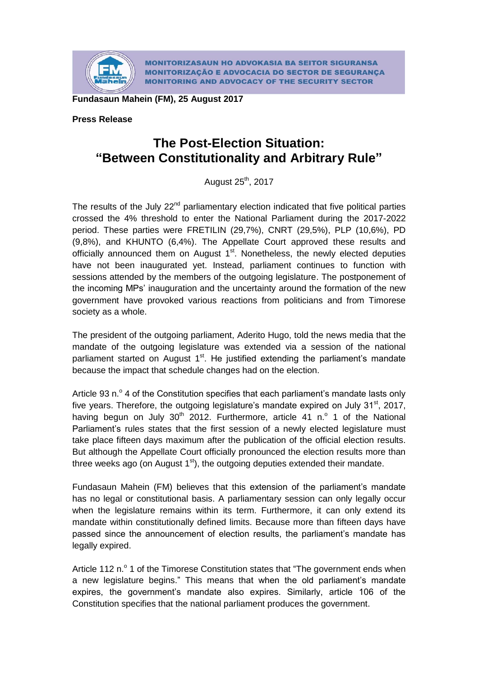

**MONITORIZASAUN HO ADVOKASIA BA SEITOR SIGURANSA MONITORIZAÇÃO E ADVOCACIA DO SECTOR DE SEGURANÇA MONITORING AND ADVOCACY OF THE SECURITY SECTOR** 

**Fundasaun Mahein (FM), 25 August 2017**

## **Press Release**

## **The Post-Election Situation: "Between Constitutionality and Arbitrary Rule"**

August 25<sup>th</sup>, 2017

The results of the July  $22<sup>nd</sup>$  parliamentary election indicated that five political parties crossed the 4% threshold to enter the National Parliament during the 2017-2022 period. These parties were FRETILIN (29,7%), CNRT (29,5%), PLP (10,6%), PD (9,8%), and KHUNTO (6,4%). The Appellate Court approved these results and officially announced them on August 1<sup>st</sup>. Nonetheless, the newly elected deputies have not been inaugurated yet. Instead, parliament continues to function with sessions attended by the members of the outgoing legislature. The postponement of the incoming MPs' inauguration and the uncertainty around the formation of the new government have provoked various reactions from politicians and from Timorese society as a whole.

The president of the outgoing parliament, Aderito Hugo, told the news media that the mandate of the outgoing legislature was extended via a session of the national parliament started on August 1<sup>st</sup>. He justified extending the parliament's mandate because the impact that schedule changes had on the election.

Article 93 n.º 4 of the Constitution specifies that each parliament's mandate lasts only five years. Therefore, the outgoing legislature's mandate expired on July 31<sup>st</sup>, 2017, having begun on July  $30<sup>th</sup>$  2012. Furthermore, article 41 n. $°$  1 of the National Parliament's rules states that the first session of a newly elected legislature must take place fifteen days maximum after the publication of the official election results. But although the Appellate Court officially pronounced the election results more than three weeks ago (on August  $1<sup>st</sup>$ ), the outgoing deputies extended their mandate.

Fundasaun Mahein (FM) believes that this extension of the parliament's mandate has no legal or constitutional basis. A parliamentary session can only legally occur when the legislature remains within its term. Furthermore, it can only extend its mandate within constitutionally defined limits. Because more than fifteen days have passed since the announcement of election results, the parliament's mandate has legally expired.

Article 112 n.<sup>o</sup> 1 of the Timorese Constitution states that "The government ends when a new legislature begins." This means that when the old parliament's mandate expires, the government's mandate also expires. Similarly, article 106 of the Constitution specifies that the national parliament produces the government.